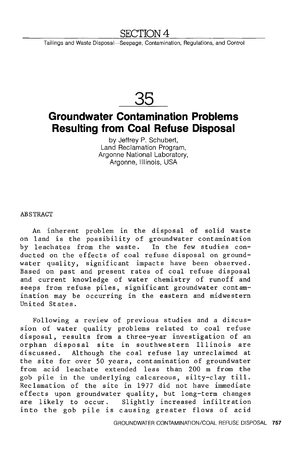## **SECTION 4**

Tailings and Waste Disposal-Seepage, Contamination, Regulations, and Control



# **Groundwater Contamination Problems Resulting from Coal Refuse Disposal**

by Jeffrey P. Schubert, Land Reclamation Program, Argonne National Laboratory, Argonne, Illinois, USA

ABSTRACT

An inherent problem in the disposal of solid waste on land is the possibility of groundwater contamination by leachates from the waste. In the few studies conducted on the effects of coal refuse disposal on groundwater quality, significant impacts have been observed. Based on past and present rates of coal refuse disposal and current knowledge of water chemistry of runoff and seeps from refuse piles, significant groundwater contamination may be occurring in the eastern and midwestern United States.

Following a review of previous studies and a discussion of water quality problems related to coal refuse disposal, results from a three-year investigation of an orphan disposal site in southwestern Illinois are discussed. Although the coal refuse lay unreclaimed at the site for over 50 years, contamination of groundwater from acid leachate extended less than 200 m from the gob pile in the underlying calcareous, silty-clay till. Reclamation of the site in 1977 did not have immediate effects upon groundwater quality, but long-term changes are likely to occur. Slightly increased infiltration into the gob pile is causing greater flows of acid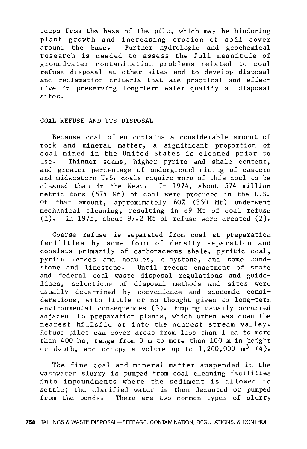seeps from the base of the pile, which may be hindering plant growth and increasing erosion of soil cover around the base. Further hydrologic and geochemical research is needed to assess the full magnitude of groundwater contamination problems related to coal refuse disposal at other sites and to develop disposal and reclamation criteria that are practical and effective in preserving long-term water quality at disposal sites.

#### COAL REFUSE AND ITS DISPOSAL

Because coal often contains a considerable amount of rock and mineral matter, a significant proportion of coal mined in the United States is cleaned prior to Thinner seams, higher pyrite and shale content, and greater percentage of underground mining of eastern and midwestern U.S. coals require more of this coal to be cleaned than in the West. In 1974, about 574 million metric tons (574 Mt) of coal were produced in the U.S. Of that amount, approximately 60% (330 Mt) underwent mechanical cleaning, resulting in 89 Mt of coal refuse (1). In 1975, about 97.2 Mt of refuse were created (2).

Coarse refuse is separated from coal at preparation facilities by some form of density separation and consists primarily of carbonaceous shale, pyritic coal, pyrite lenses and nodules, claystone, and some sandstone and limestone. Until recent enactment of state and federal coal waste disposal regulations and guidelines, selections of disposal methods and sites were usually determined by convenience and economic considerations, with little or no thought given to long-term environmental consequences (3). Dumping usually occurred adjacent to preparation plants, which often was down the nearest hillside or into the nearest stream valley. Refuse piles can cover areas from less than 1 ha to more than 400 ha, range from 3 m to more than 100 m in height or depth, and occupy a volume up to  $1,200,000$  m<sup>3</sup> (4).

The fine coal and mineral matter suspended in the washwater slurry is pumped from coal cleaning facilities into impoundments where the sediment is allowed to settle; the clarified water is then decanted or pumped from the ponds. There are two common types of slurry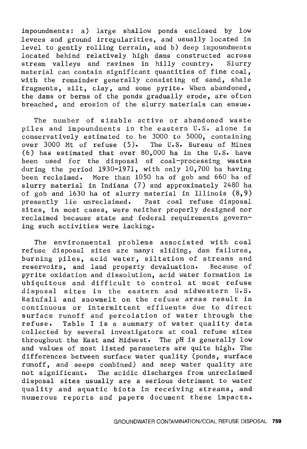impoundments: a) large shallow ponds enclosed by low levees and ground irregularities, and usually located in level to gently rolling terrain, and b) deep impoundments located behind relatively high dams constructed across stream valleys and ravines in hilly country. Slurry material can contain significant quantities of fine coal, with the remainder generally consisting of sand, shale fragments, silt, clay, and some pyrite. When abandoned, the dams or berms of the ponds gradually erode, are often breached, and erosion of the slurry materials can ensue.

The number of sizable active or abandoned waste piles and impoundments in the eastern U.S. alone is conservatively estimated to be 3000 to 5000, containing over 3000 Mt of refuse (5). The U.S. Bureau of Mines (6) has estimated that over 80,000 ha in the U.S. have been used for the disposal of coal-processing wastes during the period 1930-1971, with only 10,700 ha having been reclaimed. More than 1050 ha of gob and 660 ha of slurry material in Indiana (7) and approximately 2480 ha of gob and 1630 ha of slurry material in Illinois (8,9) presently lie unreclaimed. Past coal refuse disposal sites, in most cases, were neither properly designed nor reclaimed because state and federal requirements governing such activities were lacking.

The environmental problems associated with coal refuse disposal sites are many: sliding, dam failures, burning piles, acid water, siltation of streams and reservoirs, and land property devaluation. Because of pyrite oxidation and dissolution, acid water formation is ubiquitous and difficult to control at most refuse disposal sites in the eastern and midwestern U.S. Rainfall and snowmelt on the refuse areas result in continuous or intermittent effluents due to direct surface runoff and percolation of water through the refuse. Table I is a summary of water quality data collected by several investigators at coal refuse sites throughout the East and Midwest. The pH is generally low and values of most listed parameters are quite high. The differences between surface water quality (ponds, surface runoff, and seeps combined) and seep water quality are not significant. The acidic discharges from unreclaimed disposal sites usually are a serious detriment to water quality and aquatic biota in receiving streams, and numerous reports and papers document these impacts.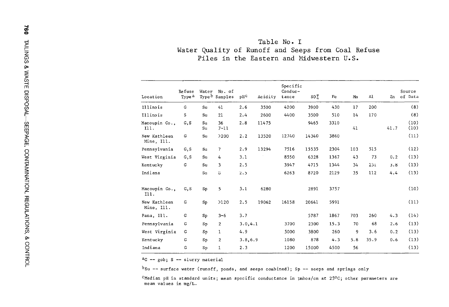| Σ           | Table No. I                                                                                    |  |  |  |  |  |  |  |  |  |
|-------------|------------------------------------------------------------------------------------------------|--|--|--|--|--|--|--|--|--|
| _<br>–<br>w | Water Quality of Runoff and Seeps from Coal Refuse<br>Piles in the Eastern and Midwestern U.S. |  |  |  |  |  |  |  |  |  |

| STE DISPOSAL                         |                            | Refuse            | Water       | No. of                    |          |         | Specific<br>Conduc- |          |      |     |      |      | Source       |
|--------------------------------------|----------------------------|-------------------|-------------|---------------------------|----------|---------|---------------------|----------|------|-----|------|------|--------------|
|                                      | Location                   | Type <sup>a</sup> |             | Type <sup>b</sup> Samples | $pH^C$   | Acidity | tance               | $SO_4^+$ | Fe   | Mn  | Al   | Zn   | of Data      |
|                                      | Illinois                   | G                 | Su          | 41                        | 2.6      | 3500    | 4200                | 3900     | 430  | 17  | 200  |      | (8)          |
|                                      | Illinois                   | s                 | Su          | 21                        | 2.4      | 2600    | 4400                | 3500     | 510  | 14  | 170  |      | (8)          |
|                                      | Macoupin Co.,<br>I11.      | G, S              | Su<br>Su    | 36<br>$7 - 11$            | 2.8      | 11475   |                     | 9465     | 3310 | 41  |      | 41.7 | (10)<br>(10) |
|                                      | New Kathleen<br>Mine, Ill. | G                 | Su          | >200                      | 2.2      | 13520   | 12740               | 14340    | 3860 |     |      |      | (11)         |
|                                      | Pennsylvania               | G, S              | Su          | 7                         | 2.9      | 13294   | 7516                | 15535    | 2304 | 103 | 515  |      | (12)         |
|                                      | West Virginia              | G, S              | Su          | 4                         | 3.1      |         | 8550                | 6328     | 1367 | 43  | 73   | 0.2  | (13)         |
|                                      | Kentucky                   | G                 | Su          | 3                         | 2.5      |         | 3947                | 4715     | 1344 | 34  | 231  | 3.8  | (13)         |
| SEEPAGE, CONTAMINATION, REGULATIONS, | Indiana                    |                   | Su          | G.                        | 2.5      |         | 6263                | 8720     | 2129 | 35  | 112  | 4.4  | (13)         |
|                                      | Macoupin Co.,<br>111.      | G, S              | Sp          | 5                         | 3.1      | 6280    |                     | 2891     | 3757 |     |      |      | (10)         |
|                                      | New Kathleen<br>Mine, Ill. | G                 | Sp          | >120                      | 2.5      | 19062   | 16158               | 20641    | 5991 |     |      |      | (11)         |
|                                      | Pana, Ill.                 | G                 | Sp          | $3 - 6$                   | 3.7      |         |                     | 5787     | 1867 | 703 | 260  | 4.3  | (14)         |
|                                      | Pennsylvania               | G                 | $S_{\rm P}$ | $\overline{2}$            | 3.0, 4.1 |         | 3700                | 2300     | 15.3 | 70  | 68   | 2.6  | (13)         |
|                                      | West Virginia              | G                 | $S_{\rm P}$ |                           | 4.9      |         | 5000                | 3800     | 260  | 9   | 3.6  | 0.2  | (13)         |
|                                      | Kentucky                   | G                 | $S_{\rm p}$ | $\overline{2}$            | 3.8, 6.9 |         | 1080                | 878      | 4.3  | 5.8 | 35.9 | 0.6  | (13)         |
| & CON'                               | Indiana                    | G                 | Sp          |                           | 2.3      |         | 1200                | 15000    | 4500 | 56  |      |      | (13)         |
|                                      |                            |                   |             |                           |          |         |                     |          |      |     |      |      |              |

::0 **ac -- gob; s -- slurry material** <sup>0</sup>

<sup>r</sup>**bsu -- surface water (runoff, ponds, and seeps combined); Sp -- seeps and springs only** 

**CMedian pH in standard units; mean specific conductance in µmhos/cm at zs <sup>0</sup> c; other parameters are mean values in mg/L.**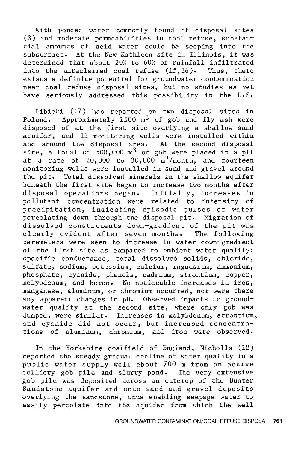With ponded water commonly found at disposal sites (8) and moderate permeabilities in coal refuse, substantial amounts of acid water could be seeping into the subsurface. At the New Kathleen site in Illinois, it was determined that about 20% to 60% of rainfall infiltrated into the unreclaimed coal refuse (15, 16). Thus, there exists a definite potential for groundwater contamination near coal refuse disposal sites, but no studies as yet have seriously addressed this possibility in the U.S.

Libicki (17) has reported on two disposal sites in Poland. Approximately  $1500 \text{ m}^3$  of gob and fly ash were disposed of at the first site overlying a shallow sand aquifer, and 11 monitoring wells were installed within and around the disposal area. At the second disposal site, a total of  $500,000 \text{ m}^3$  of gob were placed in a pit at a rate of  $20,000$  to  $30,000$   $m^3/m$ onth, and fourteen monitoring wells were installed in sand and gravel around the pit. Total dissolved minerals in the shallow aquifer beneath the first site began to increase two months after disposal operations began. Initially, increases in pollutant concentration were related to intensity of precipitation, indicating episodic pulses of water percolating down through the disposal pit. Migration of dissolved constituents down-gradient of the pit was clearly evident after seven months. The following parameters were seen to increase in water down-gradient of the first site as compared to ambient water quality: specific conductance, total dissolved solids, chloride, sulfate, sodium, potassium, calcium, magnesium, ammonium, phosphate, cyanide, phenols, cadmium, strontium, copper, molybdenum, and boron. No noticeable increases in iron, manganese, aluminum, or chromium occurred, nor were there any apparent changes in pH. Observed impacts to groundwater qualjty at the second site, where only gob was dumped, were similar. Increases in molybdenum, strontium, and cyanide did not occur, but increased concentrations of aluminum, chromium, and iron were observed.

In the Yorkshire coalfield of England, Nicholls (18) reported the steady gradual decline of water quality in a public water supply well about 700 m from an active colliery gob pile and slurry pond. The very extensive gob pile was deposited across an outcrop of the Bunter Sandstone aquifer and onto sand and gravel deposits overlying the sandstone, thus enabling seepage water to easily percclate into the aquifer from which the well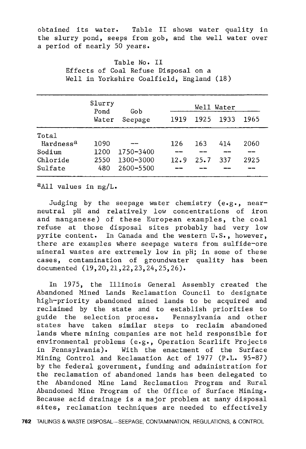obtained its water. Table II shows water quality in the slurry pond, seeps from gob, and the well water over a period of nearly 50 years.

> Table No. II Effects of Coal Refuse Disposal on a Well in Yorkshire Coalfield, England (18)

|                       | Slurry<br>Pond | Gob       |      | Well Water |       |      |  |  |  |
|-----------------------|----------------|-----------|------|------------|-------|------|--|--|--|
|                       | Water          | Seepage   | 1919 | 1925       | -1933 | 1965 |  |  |  |
| Total                 |                |           |      |            |       |      |  |  |  |
| Hardness <sup>a</sup> | 1090           |           | 126  | 163        | 414   | 2060 |  |  |  |
| Sodium                | 1200           | 1750-3400 |      |            |       |      |  |  |  |
| Chloride              | 2550           | 1300-3000 | 12.9 | 25.7       | 337   | 2925 |  |  |  |
| Sulfate               | 480            | 2600-5500 |      |            |       |      |  |  |  |

aAll values in mg/L.

Judging by the seepage water chemistry (e.g., nearneutral pH and relatively low concentrations of iron and manganese) of these European examples, the coal refuse at those disposal sites probably had very low pyrite content. In Canada and the western U.S., however, there are examples where seepage waters from sulfide-ore mineral wastes are extremely low in pH; in some of these cases, contamination of groundwater quality has been documented (19,20,21,22,23,24,25,26).

In 1975, the Illinois General Assembly created the Abandoned Mined Lands Reclamation Council to designate high-priority abandoned mined lands to be acquired and reclaimed by the state and to establish priorities to guide the selection process. Pennsylvania and other states have taken similar steps to reclaim abandoned lands where mining companies are not held responsible for environmental problems (e.g., Operation Scarlift Projects in Pennsylvania). With the enactment of the Surface Mining Control and Reclamation Act of 1977 (P.L. 95-87) by the federal government, funding and administration for the reclamation of abandoned lands has been delegated to the Abandoned Mine Land Reclamation Program and Rural Abandoned Mine Program of the Office of Surface Mining. Because acid drainage is a major problem at many disposal sites, reclamation techniques are needed to effectively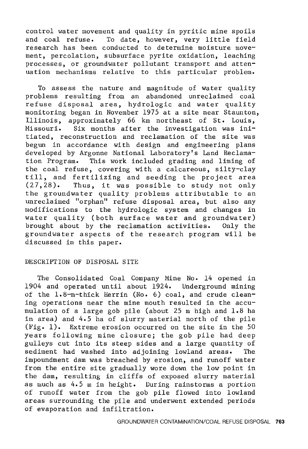control water movement and quality in pyritic mine spoils<br>and coal refuse. To date, however, very little field To date, however, very little field research has been conducted to determine moisture movement, percolation, subsurface pyrite oxidation, leaching processes, or groundwater pollutant transport and attenuation mechanisms relative to this particular problem.

To assess the nature and magnitude of water quality problems resulting from an abandoned unreclaimed coal refuse disposal area, hydrologic and water quality monitoring began in November 1975 at a site near Staunton, Illinois, approximately 66 km northeast of St. Louis, Missouri. Six months after the investigation was initiated, reconstruction and reclamation of the site was begun in accordance with design and engineering plans developed by Argonne National Laboratory's Land Reclamation Program. This work included grading and liming of the coal refuse, covering with a calcareous, silty-clay till, and fertilizing and seeding the project area (27,28). Thus, it was possible to study not only the groundwater quality problems attributable to an unreclaimed "orphan" refuse disposal area, but also any modifications to the hydrologic system and changes in water quality (both surface water and groundwater) brought about by the reclamation activities. Only the groundwater aspects of the research program will be discussed in this paper.

### DESCRIPTION OF DISPOSAL SITE

The Consolidated Coal Company Mine No. 14 opened in 1904 and operated until about 1924. Underground mining of the 1.8-m-thick Herrin (No. 6) coal, and crude cleaning operations near the mine mouth resulted in the accumulation of a large gob pile (about 25 m high and 1.8 ha in area) and 4.5 ha of slurry material north of the pile (Fig. 1). Extreme erosion occurred on the site in the 50 years following mine closure; the gob pile had deep gulleys cut into its steep sides and a large quantity of sediment had washed into adjoining lowland areas. The impoundment dam was breached by erosion, and runoff water from the entire site gradually wore down the low point in the dam, resulting in cliffs of exposed slurry material as much as 4. 5 m in height. During rainstorms a portion of runoff water from the gob pile flowed into lowland areas surrounding the pile and underwent extended periods of evaporation and infiltration.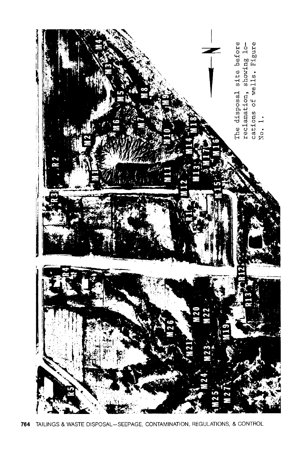

**764** TAILINGS & WASTE DISPOSAL-SEEPAGE, CONTAMINATION, REGULATIONS, & CONTROL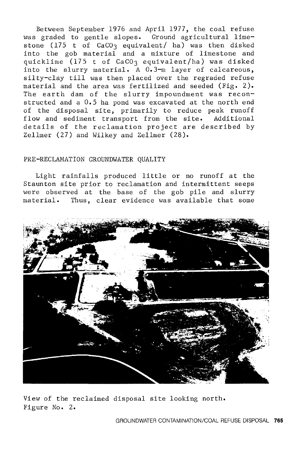Between September 1976 and April 1977, the coal refuse was graded to gentle slopes. Ground agricultural limestone (175 t of  $CaCO<sub>3</sub>$  equivalent/ ha) was then disked into the gob material and a mixture of limestone and quicklime (175 t of CaCO3 equivalent/ha) was disked into the slurry material. A 0.3-m layer of calcareous, silty-clay till was then placed over the regraded refuse material and the area was fertilized and seeded (Fig. 2). The earth dam of the slurry impoundment was reconstructed and a 0.5 ha pond was excavated at the north end of the disposal site, primarily to reduce peak runoff flow and sediment transport from the site. Additional details of the reclamation project are described by Zellmer (27) and Wilkey and Zellmer (28).

#### PRE-RECLAMATION GROUNDWATER QUALITY

Light rainfalls produced little or no runoff at the Staunton site prior to reclamation and intermittent seeps were observed at the base of the gob pile and slurry material. Thus, clear evidence was available that some



View of the reclaimed disposal site looking north. Figure No. 2.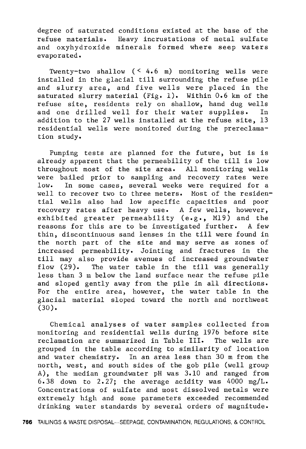degree of saturated conditions existed at the base of the refuse materials. Heavy incrustations of metal sulfate and oxyhydroxide minerals formed where seep waters evaporated.

Twenty-two shallow  $($   $($   $4.6$  m $)$  monitoring wells were installed in the glacial till surrounding the refuse pile and slurry area, and five wells were placed in the saturated slurry material (Fig. 1). Within 0.6 km of the refuse site, residents rely on shallow, hand dug wells and one drilled well for their water supplies. In addition to the 27 wells installed at the refuse site, 13 residential wells were monitored during the prereclamation study.

Pumping tests are planned for the future, but is is already apparent that the permeability of the till is low throughout most of the site area. All monitoring wells were bailed prior to sampling and recovery rates were low. In some cases, several weeks were required for a well to recover two to three meters. Most of the residential wells also had low specific capacities and poor recovery rates after heavy use. A few wells, however, exhibited greater permeability (e.g., Ml9) and the reasons for this are to be investigated further. A few thin, discontinuous sand lenses in the till were found in the north part of the site and may serve as zones of increased permeability. Jointing and fractures in the till may also provide avenues of increased groundwater flow (29). The water table in the till was generally less than 3 m below the land surface near the refuse pile and sloped gently away from the pile in all directions. For the entire area, however, the water table in the glacial material sloped toward the north and northwest (30).

Chemical analyses of water samples collected from monitoring and residential wells during 1976 before site reclamation are summarized in Table III. The wells are grouped in the table according to similarity of location and water chemistry. In an area less than 30 m from the north, west, and south sides of the gob pile (well group A), the median groundwater pH was 3.10 and ranged from 6.38 down to 2.27; the average acidity was 4000 mg/L. Concentrations of sulfate and most dissolved metals were extremely high and some parameters exceeded recommended drinking water standards by several orders of magnitude.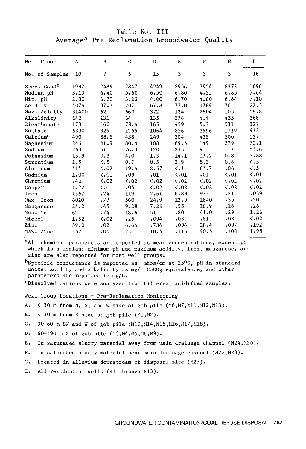Table No. III Average<sup>a</sup> Pre-Reclamation Groundwater Quality

| Well Group              | A     | B              | C             | D         | E                    | $\mathbf{F}$  | G             | Н                    |
|-------------------------|-------|----------------|---------------|-----------|----------------------|---------------|---------------|----------------------|
| No. of Samples          | 10    | $\overline{7}$ | 5             | 15        | 3                    | 3             | 3             | 16                   |
| Spec. Cond <sup>b</sup> | 19921 | 2489           | 2847          | 4249      | 2956                 | 3954          | 8373          | 1696                 |
| Median pH               | 3.10  | 6.40           | 5.60          | 6.50      | 6.80                 | 4.35          | 6.85          | 7.64                 |
| Min. pH                 | 2.30  | 6.20           | 3.20          | 4.00      | 6.70                 | 4.00          | 6.84          | 7.10                 |
| Acidity                 | 4076  | 37.3           | 207           | 67.8      | 77.0                 | 1784          | 76            | 22.3                 |
| Max. Acidity            | 31400 | 62             | 660           | 372       | 124                  | 2604          | 105           | 59.8                 |
| Alkalinity              | 142   | 131            | 64            | 135       | 376                  | 4.4           | 435           | 268                  |
| Bicarbonate             | 173   | 160            | 78.4          | 165       | 459                  | 5.3           | 531           | 327                  |
| Sulfate                 | 6330  | 329            | 1255          | 1064      | 856                  | 3596          | 1719          | 433                  |
| Calcium <sup>C</sup>    | 490   | 88.5           | 438           | 249       | 304                  | 435           | 500           | 137                  |
| Magnesium               | 246   | 41.9           | 80.4          | 108       | 69.5                 | 149           | 279           | 70.1                 |
| Sodium                  | 263   | 61             | 26.3          | 120       | 235                  | 91            | 117           | 53.6                 |
| Potassium               | 15.9  | 0.3            | 4.0           | 1.3       | 14.1                 | 17.2          | 0.8           | 3.88                 |
| Strontium               | 1.5   | $\langle .5$   | 0.7           | 0.5       | 2.9                  | 5.3           | 0.6           | $\langle .5 \rangle$ |
| Aluminum                | 414   | $\zeta$ .02    | 19.4          | 2.57      | $\langle .1 \rangle$ | 61.7          | .06           | $\langle .5 \rangle$ |
| Cadmium                 | 1.00  | $\zeta$ .01    | .09           | .01       | $\zeta$ .01          | .01           | $\zeta$ , 01  | $\langle .01$        |
| Chromium                | .46   | $\zeta$ .02    | $\langle .02$ | $\lt$ .02 | $\langle .02$        | $\langle .02$ | $\zeta$ .02   | $\langle .02$        |
| Copper                  | 1.22  | $\zeta$ .01    | .05           | $\lt$ .02 | $\zeta$ .02          | $\langle .02$ | $\langle .02$ | $\zeta$ , 02         |
| Iron                    | 1367  | .24            | 119           | 2.61      | 6.89                 | 933           | .21           | .039                 |
| Max. Iron               | 6010  | .77            | 560           | 24.9      | 12.9                 | 1840          | .35           | .20                  |
| Manganese               | 24.2  | .45            | 9.28          | 7.26      | .55                  | 16.9          | .16           | .26                  |
| Max. Mn                 | 62    | .74            | 18.6          | 51        | .80                  | 41.0          | .29           | 1.26                 |
| Nickel                  | 1.52  | $\zeta$ , 02   | .25           | .094      | .03                  | .81           | .03           | $\langle .02$        |
| Zinc                    | 59.0  | .02            | 6.64          | .734      | .096                 | 28.4          | .097          | .192                 |
| Max. Zinc               | 252   | .05            | 23            | 10.4      | .115                 | 40.5          | .104          | 1.95                 |
|                         |       |                |               |           |                      |               |               |                      |

aAll chemical parameters are reported as mean concentrations, except pH which is a median; minimum pH and maximum acidity, iron, manganese, and zinc are also reported for most well groups.

 $b$ Specific conductance is reported as mhos/cm at 25°C, pH in standard units, acidity and alkalinity as mg/L CaCO3 equivalence, and other parameters are reported in mg/L.

 $c$ Dissolved cations were analyzed from filtered, acidified samples.

Well Group Locations - Pre-Reclamation Monitoring

- A.  $\leq$  30 m from N, S, and W side of gob pile (M6, M7, M11, M12, M13).
- B.  $\leq$  30 m from E side of 30b pile (M1, M2).

C. 30-60 m SW and W of gob pile (M10, M14, M15, M16, M17, M18).

D. 60-190 m S of gob pile (M3,M4,M5,M8,N9).

- E. In saturated slurry material away from main drainage channel (H24,M26).
- F. In saturated slurry material near main drainage channel (H22,H23).
- G. Located in alluvium downstream of disposal site (M27).
- H. All residential wells (Rl through Rl3).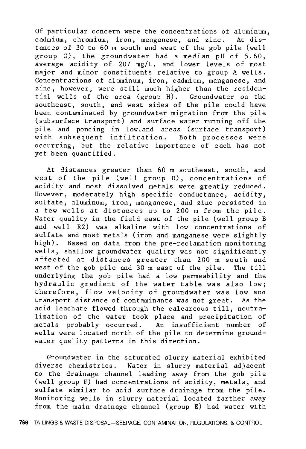Of particular concern were the concentrations of aluminum,<br>cadmium, chromium, iron, manganese, and zinc. At discadmium, chromium, iron, manganese, and zinc. tances of 30 to 60 m south and west of the gob pile (well group C), the groundwater had a median pH of 5.60, average acidity of 207 mg/L, and lower levels of most major and minor constituents relative to group A wells. Concentrations of aluminum, iron, cadmium, manganese, and zinc, however, were still much higher than the residential wells of the area (group H). Groundwater on the southeast, south, and west sides of the pile could have been contaminated by groundwater migration from the pile (subsurface transport) and surface water running off the pile and ponding in lowland areas (surface transport) with subsequent infiltration. Both processes were occurring, but the relative importance of each has not yet been quantified.

At distances greater than 60 m southeast, south, and west of the pile (well group D), concentrations of acidity and most dissolved metals were greatly reduced. However, moderately high specific conductance, acidity, sulfate, aluminum, iron, manganese, and zinc persisted in a few wells at distances up to 200 m from the pile. Water quality in the field east of the pile (well group B and well R2) was alkaline with low concentrations of sulfate and most metals (iron and manganese were slightly high). Based on data from the pre-reclamation monitoring wells, shallow groundwater quality was not significantly affected at distances greater than 200 m south and west of the gob pile and 30 m east of the pile. The till underlying the gob pile had a low permeability and the hydraulic gradient of the water table was also low; therefore, flow velocity of groundwater was low and transport distance of contaminants was not great. As the acid leachate flowed through the calcareous till, neutralization of the water took place and precipitation of metals probably occurred. An insufficient number of wells were located north of the pile to determine groundwater quality patterns in this direction.

Groundwater in the saturated slurry material exhibited diverse chemistries. Water in slurry material adjacent to the drainage channel leading away from the gob pile (well group F) had concentrations of acidity, metals, and sulfate similar to acid surface drainage from the pile. Monitoring wells in slurry material located farther away from the main drainage channel (group E) had water with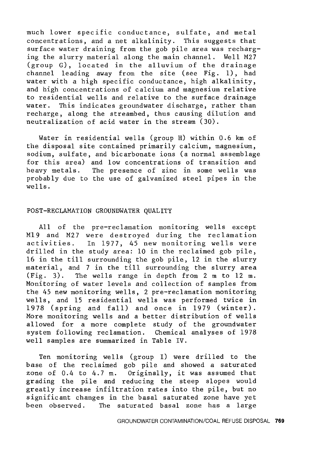much lower specific conductance, sulfate, and metal concentrations, and a net alkalinity. This suggests that surface water draining from the gob pile area was recharging the slurry material along the main channel. Well M27 (group G), located in the alluvium of the drainage channel leading away from the site (see Fig. 1), had water with a high specific conductance, high alkalinity, and high concentrations of calcium and magnesium relative to residential wells and relative to the surface drainage water. This indicates groundwater discharge, rather than recharge, along the streambed, thus causing dilution and neutralization of acid water in the stream (30).

Water in residential wells (group H) within 0.6 km of the disposal site contained primarily calcium, magnesium, sodium, sulfate, and bicarbonate ions (a normal assemblage for this area) and low concentrations of transition and heavy metals. The presence of zinc in some wells was probably due to the use of galvanized steel pipes in the wells.

#### POST-RECLAMATION GROUNDWATER QUALITY

All of the pre-reclamation monitoring wells except Ml9 and M27 were destroyed during the reclamation activities. In 1977, 45 new monitoring wells were drilled in the study area: 10 in the reclaimed gob pile, 16 in the till surrounding the gob pile, 12 in the slurry material, and 7 in the till surrounding the slurry area (Fig. 3). The wells range in depth from 2 m to 12 m. Monitoring of water levels and collection of samples from the 45 new monitoring wells, 2 pre-reclamation monitoring wells, and 15 residential wells was performed twice in 1978 (spring and fall) and once in 1979 (winter). More monitoring wells and a better distribution of wells allowed for a more complete study of the groundwater system following reclamation. Chemical analyses of 1978 well samples are summarized in Table IV.

Ten monitoring wells (group I) were drilled to the base of the reclaimed gob pile and showed a saturated zone of  $0.4$  to  $4.7$  m. Originally, it was assumed that grading the pile and reducing the steep slopes would greatly increase infiltration rates into the pile, but no significant changes in the basal saturated zone have yet been observed. The saturated basal zone has a large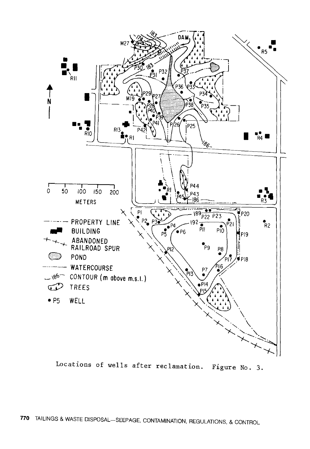

Locations of wells after reclamation. Figure No. 3.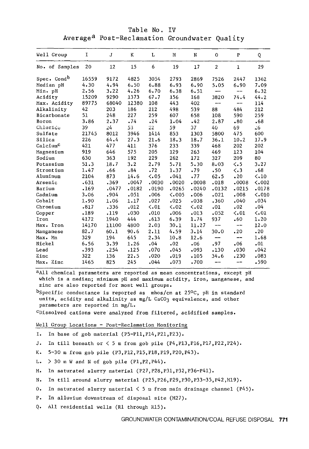Table No. IV Average<sup>a</sup> Post-Reclamation Groundwater Quality

| Well Group              | I     | J     | ĸ     | L             | М             | N           | $\Omega$                 | $\mathbf{P}$  | Q             |
|-------------------------|-------|-------|-------|---------------|---------------|-------------|--------------------------|---------------|---------------|
| No. of Samples          | 20    | 12    | 15    | 6             | 19            | 17          | $\overline{2}$           | $\mathbf{1}$  | 29            |
| Spec. Cond <sup>b</sup> | 16559 | 9172  | 4825  | 3054          | 2793          | 2869        | 7526                     | 2447          | 1362          |
| Median pH               | 4.30  | 4.94  | 6.50  | 6.88          | 6.93          | 6.90        | 5.05                     | 6.90          | 7.09          |
| Min. pH                 | 2.56  | 3.22  | 4.26  | 6.70          | 6.38          | 6.51        |                          | --            | 6.32          |
| Acidity                 | 15209 | 9290  | 1373  | 67.7          | 156           | 168         | 3820                     | 74.4          | 44.2          |
| Max. Acidity            | 89775 | 68040 | 12380 | 108           | 443           | 402         | $- -$                    | --            | 114           |
| Alkalinity              | 42    | 203   | 186   | 212           | 498           | 539         | 88                       | 484           | 212           |
| Bicarbonate             | 51    | 248   | 227   | 259           | 607           | 658         | 108                      | 590           | 259           |
| Boron                   | 3,86  | 2.37  | .74   | .24           | 1.04          | .42         | 2.87                     | .80           | .68           |
| Chloride                | 39    | 24    | 53    | 22            | 59            | 37          | 40                       | 69            | 6ء            |
| Sulfate                 | 21745 | 8012  | 3946  | 1414          | 853           | 1303        | 5800                     | 475           | 600           |
| Silica                  | 226   | 64.4  | 27.3  | 21.6          | 18.3          | 18.7        | 36.1                     | 10.2          | 17.9          |
| Calcium <sup>C</sup>    | 421   | 477   | 411   | 376           | 233           | 339         | 468                      | 202           | 202           |
| Magnesium               | 919   | 646   | 575   | 205           | 129           | 263         | 469                      | 123           | 104           |
| Sodium                  | 630   | 363   | 192   | 229           | 262           | 172         | 327                      | 209           | 80            |
| Potassium               | 51.3  | 18.7  | 3.2   | 2.79          | 5.71          | 5.30        | 8.03                     | $\langle .5$  | 3.27          |
| Strontium               | 1.47  | .66   | .84   | .72           | 1.37          | .79         | .50                      | $\langle .3$  | .68           |
| Aluminum                | 2104  | 873   | 14.6  | $\langle .05$ | .041          | .77         | 62.5                     | .20           | $\langle .10$ |
| Arsenic                 | .631  | .369  | .0047 | .0030         | .0020         | .0008       | .018                     | .0008         | $\zeta$ ,002  |
| Barium                  | .169  | .0477 | .0182 | .0190         | .0265         | .0240       | .0132                    | .0215         | .0178         |
| Cadmium                 | 3.06  | .904  | .051  | .006          | < 005         | .006        | .021                     | .008          | < .010        |
| Cobalt                  | 1.90  | 1.06  | 1.17  | .027          | .025          | .038        | .360                     | .040          | .034          |
| Chromium                | .817  | .336  | .012  | $\zeta$ .01   | $\langle .02$ | $\zeta$ .02 | .01                      | .02           | .04           |
| Copper                  | .189  | .119  | .030  | .010          | .006          | .013        | .052                     | $\langle .01$ | < 01          |
| Iron                    | 4172  | 1940  | 444   | .613          | 6.39          | 1.74        | 937                      | .60           | 1.20          |
| Max. Iron               | 14170 | 11100 | 4800  | 2.03          | 30.1          | 11.27       | $\qquad \qquad -$        | --            | 12.0          |
| Manganese               | 82.7  | 60.1  | 90.6  | 2.11          | 4.59          | 3.14        | 30.0                     | .20           | .20           |
| Max. Mn                 | 329   | 194   | 645   | 2.34          | 10.8          | 12.6        | $\overline{\phantom{0}}$ | --            | 1.68          |
| Nickel                  | 6.56  | 3.39  | 1.26  | .04           | .02           | .06         | .97                      | .06           | .01           |
| Lead                    | .393  | .254  | .125  | .070          | .045          | .093        | .130                     | .030          | .042          |
| Zinc                    | 322   | 136   | 22.5  | .020          | .019          | .105        | 34.6                     | .230          | .083          |
| Max. Zinc               | 1465  | 825   | 245   | .044          | .073          | .700        | --                       | --            | .590          |
|                         |       |       |       |               |               |             |                          |               |               |

aAll chemical parameters are reported as mean concentrations, except pH which is a median; minimum pH and maximum acidity, iron, manganese, and zinc are also reported for most well groups.

bspecific conductance is reported as  $m\text{mos/cm at } 25^{\circ}\text{C}$ , pH in standard units, acidity and alkalinity as mg/L CaCO3 equivalence, and other parameters are reported in mg/L.

"Dissolved cations were analyzed from filtered, acidified samples.

Well Group Locations - Post-Reclamation Monitoring

- I, In base of gob material (PS-Pll,Pl4,P21,P23).
- J. In till beneath or  $\langle$  5 m from gob pile (P4, P13, P16, P17, P22, P24).
- K. S-30 m from gob pile (P3,Pl2,PlS,Pl8,Pl9,P20,P43),
- L.  $>$  30 m W and N of gob pile (P1, P2, P44).
- M. In saturated slurry material (P27,P28,P31,P32,P36-P41).
- N. In till around slurry material (P2S,P26,P29,P30,P33-3S,P42,Ml9),
- O. In saturated slurry material  $\leq$  5 m from main drainage channel (P45).
- P, In alluvium downstream of disposal site (M27).
- Q. All residential wells (Rl through RlS).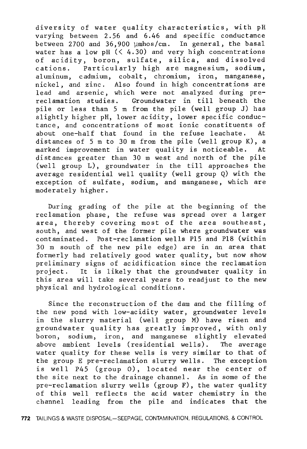diversity of water quality characteristics, with pH varying between 2.56 and 6.46 and specific conductance between 2700 and 36,900 µmhos/cm. In general, the basal water has a low pH  $($   $($  4.30) and very high concentrations of acidity, boron, sulfate, silica, and dissolved cations. Particularly high are magnesium, sodium, aluminum, cadmium, cobalt, chromium, iron, manganese, nickel, and zinc. Also found in high concentrations are lead and arsenic, which were not analyzed during prereclamation studies, Groundwater in till beneath the pile or less than 5 m from the pile (well group J) has slightly higher pH, lower acidity, lower specific conductance, and concentrations of most ionic constituents of about one-half that found in the refuse leachate. At distances of 5 m to 30 m from the pile (well group K), a marked improvement in water quality is noticeable. At distances greater than 30 m west and north of the pile (well group L), groundwater in the till approaches the average residential well quality (well group Q) with the exception of sulfate, sodium, and manganese, which are moderately higher.

During grading of the pile at the beginning of the reclamation phase, the refuse was spread over a larger area, thereby covering most of the area southeast, south, and west of the former pile where groundwater was contaminated. Post-reclamation wells Pl5 and Pl8 (within 30 m south of the new pile edge) are in an area that formerly had relatively good water quality, but now show preliminary signs of acidification since the reclamation project. It is likely that the groundwater quality in this area will take several years to readjust to the new physical and hydrological conditions.

Since the reconstruction of the dam and the filling of the new pond with low-acidity water, groundwater levels in the slurry material (well group M) have risen and groundwater quality has greatly improved, with only boron, sodium, iron, and manganese slightly elevated above ambient levels (residential wells). The average water quality for these wells is very similar to that of the group E pre-reclamation slurry wells. The exception is well P45 (group 0), located near the center of the site next to the drainage channel. As in some of the pre-reclamation slurry wells (group F), the water quality of this well reflects the acid water chemistry in the channel leading from the pile and indicates that the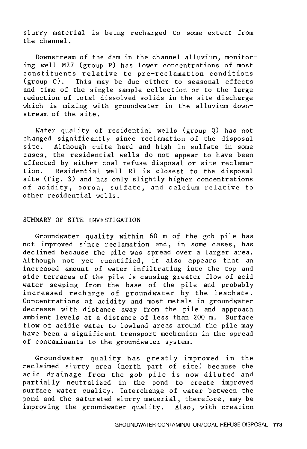slurry material is being recharged to some extent from the channel.

Downstream of the dam in the channel alluvium, monitoring well M27 (group P) has lower concentrations of most constituents relative to pre-reclamation conditions (group G). This may be due either to seasonal effects and time of the single sample collection or to the large reduction of total dissolved solids in the site discharge which is mixing with groundwater in the alluvium downstream of the site.

Water quality of residential wells (group Q) has not changed significantly since reclamation of the disposal site. Although quite hard and high in sulfate in some cases, the residential wells do not appear to have been affected by either coal refuse disposal or site reclama-<br>tion. Residential well R1 is closest to the disposal Residential well Rl is closest to the disposal site (Fig. 3) and has only slightly higher concentrations of acidity, boron, sulfate, and calcium relative to other residential wells.

#### SUMMARY OF SITE INVESTIGATION

Groundwater quality within 60 m of the gob pile has not improved since reclamation and, in some cases, has declined because the pile was spread over a larger area. Although not yet quantified, it also appears that an increased amount of water infiltrating into the top and side terraces of the pile is causing greater flow of acid water seeping from the base of the pile and probably increased recharge of groundwater by the leachate. Concentrations of acidity and most metals in groundwater decrease with distance away from the pile and approach ambient levels at a distance of less than 200 m. Surface flow of acidic water to lowland areas around the pile may have been a significant transport mechanism in the spread of contaminants to the groundwater system.

Groundwater quality has greatly improved in the reclaimed slurry area (north part of site) because the acid drainage from the gob pile is now diluted and partially neutralized in the pond to create improved surface water quality. Interchange of water between the pond and the saturated slurry material, therefore, may be improving the groundwater quality. Also, with creation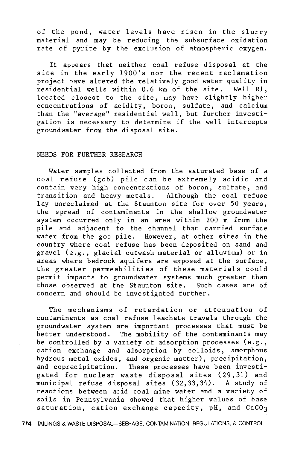of the pond, water levels have risen in the slurry material and may be reducing the subsurface oxidation rate of pyrite by the exclusion of atmospheric oxygen.

It appears that neither coal refuse disposal at the site in the early 1900's nor the recent reclamation project have altered the relatively good water quality in residential wells within 0. 6 km of the site. Well Rl, located closest to the site, may have slightly higher concentrations of acidity, boron, sulfate, and calcium than the "average" residential well, but further investigation is necessary to determine if the well intercepts groundwater from the disposal site.

#### NEEDS FOR FURTHER RESEARCH

Water samples collected from the saturated base of a coal refuse (gob) pile can be extremely acidic and contain very high concentrations of boron, sulfate, and transition and heavy metals. Although the coal refuse lay unreclaimed at the Staunton site for over 50 years, the spread of contaminants in the shallow groundwater system occurred only in an area within 200 m from the pile and adjacent to the channel that carried surface water from the gob pile. However, at other sites in the country where coal refuse has been deposited on sand and gravel (e.g., glacial outwash material or alluvium) or in areas where bedrock aquifers are exposed at the surface, the greater permeabilities of these materials could permit impacts to groundwater systems much greater than those observed at the Staunton site. Such cases are of concern and should be investigated further.

The mechanisms of retardation or attenuation of contaminants as coal refuse leachate travels through the groundwater system are important processes that must be better understood. The mobility of the contaminants may be controlled by a variety of adsorption processes (e.g., cation exchange and adsorption by colloids, amorphous hydrous metal oxides, and organic matter), precipitation, and coprecipitation. These processes have been investigated for nuclear waste disposal sites (29,31) and municipal refuse disposal sites (32,33,34). A study of reactions between acid coal mine water and a variety of soils in Pennsylvania showed that higher values of base saturation, cation exchange capacity, pH, and CaCO3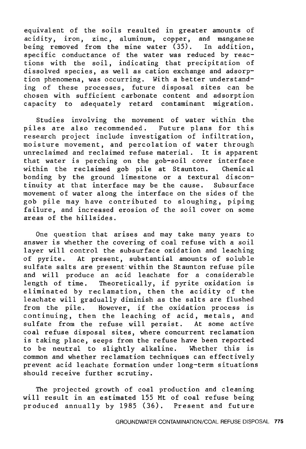equivalent of the soils resulted in greater amounts of acidity, iron, zinc, aluminum, copper, and manganese being removed from the mine water  $(35)$ . In addition, specific conductance of the water was reduced by reactions with the soil, indicating that precipitation of dissolved species, as well as cation exchange and adsorption phenomena, was occurring. With a better understanding of these processes, future disposal sites can be chosen with sufficient carbonate content and adsorption capacity to adequately retard contaminant migration.

Studies involving the movement of water within the piles are also recommended. Future plans for this research project include investigation of infiltration, moisture movement, and percolation of water through unreclaimed and reclaimed refuse material. It is apparent that water is perching on the gob-soil cover interface within the reclaimed gob pile at Staunton. Chemical bonding by the ground limestone or a textural discontinuity at that interface may be the cause. Subsurface movement of water along the interface on the sides of the gob pile may have contributed to sloughing, piping failure, and increased erosion of the soil cover on some areas of the hillsides.

One question that arises and may take many years to answer is whether the covering of coal refuse with *a* soil layer will control the subsurface oxidation and leaching of pyrite. At present, substantial amounts of soluble sulfate salts are present within the Staunton refuse pile and will produce an acid leachate for a considerable length of time. Theoretically, if pyrite oxidation is eliminated by reclamation, then the acidity of the leachate will gradually diminish as the salts are flushed from the pile. However, if the oxidation process is continuing, then the leaching of acid, metals, and sulfate from the refuse will persist. At some active coal refuse disposal sites, where concurrent reclamation is taking place, seeps from the refuse have been reported to be neutral to slightly alkaline. Whether this is common and whether reclamation techniques can effectively prevent acid leachate formation under long-term situations should receive further scrutiny.

The projected growth of coal production and cleaning will result in an estimated 155 Mt of coal refuse being produced annually by 1985 (36). Present and future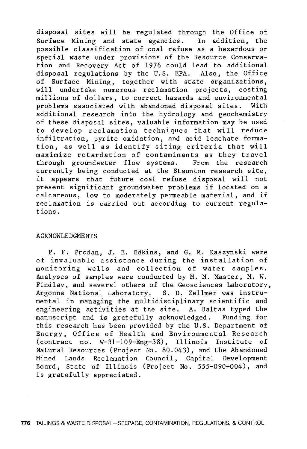disposal sites will be regulated through the Office of Surface Mining and state agencies. In addition, the possible classification of coal refuse as a hazardous or special waste under provisions of the Resource Conservation and Recovery Act of 1976 could lead to additional disposal regulations by the U.S. EPA. Also, the Office of Surface Mining, together with state organizations, will undertake numerous reclamation projects, costing millions of dollars, to correct hazards and environmental problems associated with abandoned disposal sites. With additional research into the hydrology and geochemistry of these disposal sites, valuable information may be used to develop reclamation techniques that will reduce infiltration, pyrite oxidation, and acid leachate formation, as well as identify siting criteria that will maximize retardation of contaminants as they travel through groundwater flow systems. From the research currently being conducted at the Staunton research site, it appears that future coal refuse disposal will not present significant groundwater problems if located on a calcareous, low to moderately permeable material, and if reclamation is carried out according to current regulations.

#### ACKNOWLEDGMENTS

P. F. Prodan, J. E. Edkins, and G. M. Kaszynski were of invaluable assistance during the installation of monitoring wells and collection of water samples. Analyses of samples were conducted by M. M. Master, M. W. Findlay, and several others of the Geosciences Laboratory, Argonne National Laboratory. S. D. Zellmer was instrumental in managing the multidisciplinary scientific and engineering activities at the site. A. Baltas typed the manuscript and is gratefully acknowledged. Funding for this research has been provided by the U.S. Department of Energy, Office of Health and Environmental Research (contract no. W-31-109-Eng-38), Illinois Institute of Natural Resources (Project No. 80.043), and the Abandoned Mined Lands Reclamation Council, Capital Development Board, State of Illinois (Project No. 555-090-004), and is gratefully appreciated.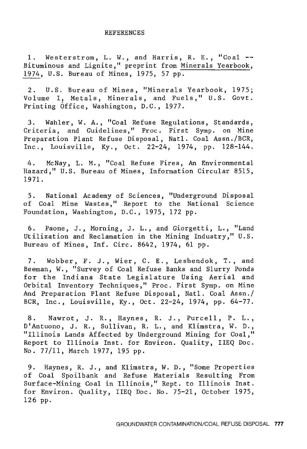#### REFERENCES

1. Westerstrom, L. W., and Harris, R. E., "Coal -- Bituminous and Lignite," preprint from Minerals Yearbook, 1974, U.S. Bureau of Mines, 1975, 57 pp.

2. U.S. Bureau of Mines, "Minerals Yearbook, 1975; Volume I, Metals, Minerals, and Fuels," U.S. Govt. Printing Office, Washington, D.C., 1977.

3. Wahler, W. A., "Coal Refuse Regulations, Standards, Criteria, and Guidelines," Proc. First Symp. on Mine Preparation Plant Refuse Disposal, Natl. Coal Assn./BCR, Inc., Louisville, Ky., Oct. 22-24, 1974, pp. 128-144.

4. McNay, L. M., "Coal Refuse Fires, An Environmental Hazard," U.S. Bureau of Mines, Information Circular 8515, 1971.

5. National Academy of Sciences, of Coal Mine Wastes," Report to Foundation, Washington, D.C., 1975, 172 pp. "Underground the National Disposal Science

6. Paone, J., Morning, J. L., and Giorgetti, L., "Land Utilization and Reclamation in the Mining Industry," U.S. Bureau of Mines, Inf. Gire. 8642, 1974, 61 pp.

7. Wobber, F. J., Wier, C. E., Leshendok, T., and Beeman, W., "Survey of Coal Refuse Banks and Slurry Ponds for the Indiana State Legislature Using Aerial and Orbital Inventory Techniques," Proc. First Symp. on Mine And Preparation Plant Refuse Disposal, Natl. Coal Assn./ BCR, Inc., Louisville, Ky., Oct. 22-24, 1974, pp. 64-77.

8. Nawrot, J. R., Haynes, R. J., Purcell, P. L., D'Antuono, J. R., Sullivan, R. L., and Klimstra, W. D., "Illinois Lands Affected by Underground Mining for Coal," Report to Illinois Inst. for Environ. Quality, IIEQ Doc. No. 77/11, March 1977, 195 pp.

9. Haynes, R. J., and Klimstra, W. D., "Some Properties of Coal Spoilbank and Refuse Materials Resulting From Surface-Mining Coal in Illinois," Rept. to Illinois Inst. for Environ. Quality, IIEQ Doc. No. 75-21, October 1975, 126 pp.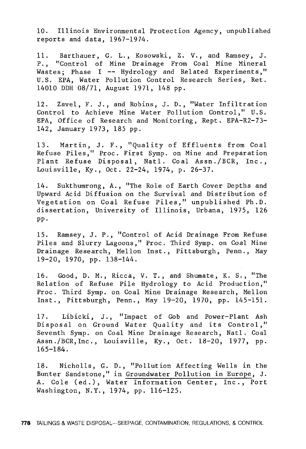10. Illinois Environmental Protection Agency, unpublished reports and data, 1967-1974.

11. Barthauer, G. L., Kosowski, Z. V., and Ramsey, J. P. , "Control of Mine Drainage From Coal Mine Mineral Wastes; Phase I -- Hydrology and Related Experiments." U.S. EPA, Water Pollution Control Research Series, Ret. 14010 DDH 08/71, August 1971, 148 pp.

12. Zavel, F. J., and Robins, J. D., "Water Infiltration Control to Achieve Mine Water Pollution Control," U.S. EPA, Office of Research and Monitoring, Rept. EPA-R2-73- 142, January 1973, 185 pp.

13. Martin, J. F., "Quality of Effluents from Coal Refuse Piles," Proc. First Symp. on Mine and Preparation Plant Refuse Disposal, Natl. Coal Assn./BCR, Inc., Louisville, Ky., Oct. 22-24, 1974, p. 26-37.

14. Sukthumrong, A., "The Role of Earth Cover Depths and Upward Acid Diffusion on the Survival and Distribution of Vegetation on Coal Refuse Piles," unpublished Ph.D. dissertation, University of Illinois, Urbana, 1975, 126 pp.

15. Ramsey, J. P., "Control of Acid Drainage From Refuse Piles and Slurry Lagoons," Proc. Third Symp. on Coal Mine Drainage Research, Mellon Inst., Pittsburgh, Penn., May 19-20, 1970, pp. 138-144.

16. Good, D. M., Ricca, V. T., and Shumate, K. S., "The Relation of Refuse Pile Hydrology to Acid Production," Proc. Third Symp. on Coal Mine Drainage Research, Mellon Inst., Pittsburgh, Penn., May 19-20, 1970, pp. 145-151.

17. Libicki, J., "Impact of Gob and Power-Plant Ash Disposal on Ground Water Quality and its Control," Seventh Symp. on Coal Mine Drainage Research, Natl. Coal Assn. /BCR, Inc., Louisville, Ky., Oct. 18-20, 1977, pp. 165-184.

18. Nicholls, G. D., "Pollution Affecting Wells in the Bunter Sandstone," in Groundwater Pollution in Europe, J. A. Cole (ed.), Water Information Center, Inc., Port Washington, N.Y., 1974, pp. 116-125.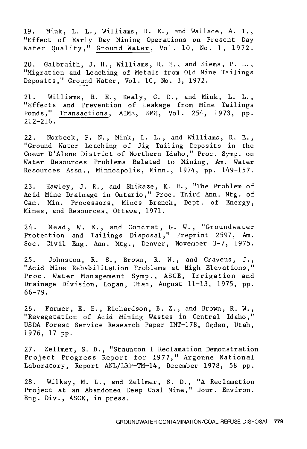19. Mink, L. L., Williams, R. E., and Wallace, A. T., "Effect of Early Day Mining Operations on Present Day Water Quality," Ground Water, Vol. 10, No. 1, 1972.

20. Galbraith, J. H., Williams, R. E., and Siems, P. L., "Migration and Leaching of Metals from Old Mine Tailings Deposits," Ground Water, Vol. 10, No. 3, 1972.

21. Williams, R. E., Kealy, C. D., and Mink, L. L., "Effects and Prevention of Leakage from Mine Tailings Ponds," Transactions, AIME, SME, Vol. 254, 1973, pp. 212-216.

22. Norbeck, P. N., Mink, L. L., and Williams, R. E., "Ground Water Leaching of Jig Tailing Deposits in the Coeur D'Alene District of Northern Idaho," Proc. Symp. on Water Resources Problems Related to Mining, Am. Water Resources Assn., Minneapolis, Minn., 1974, pp. 149-157.

23. Hawley, J. R., and Shikaze, K. H., "The Problem of Acid Mine Drainage in Ontario," Proc. Third Ann. Mtg. of Can. Min. Processors, Mines Branch, Dept. of Energy, Mines, and Resources, Ottawa, 1971.

24. Mead, W. E., and Condrat, G. W., "Groundwater Protection and Tailings Disposal," Preprint 2597, Am. Soc. Civil Eng. Ann. Mtg., Denver, November 3-7, 1975.

25. Johnston, R. S., Brown, R. W., and Cravens, J., "Acid Mine Rehabilitation Problems at High Elevations," Proc. Water Management Symp., ASCE, Irrigation and Drainage Division, Logan, Utah, August 11-13, 1975, pp. 66-79.

26. Farmer, E. E., Richardson, B. Z., and Brown, R. W., "Revegetation of Acid Mining Wastes in Central Idaho," USDA Forest Service Research Paper INT-178, Ogden, Utah, 1976, 17 pp.

27. Zellmer, S. D., "Staunton 1 Reclamation Demonstration Project Progress Report for 1977," Argonne National Laboratory, Report ANL/LRP-TM-14, December 1978, 58 pp.

28. Wilkey, M. L., and Zellmer, S. D., "A Reclamation Project at an Abandoned Deep Coal Mine," Jour. Environ. Eng. Div., ASCE, in press.